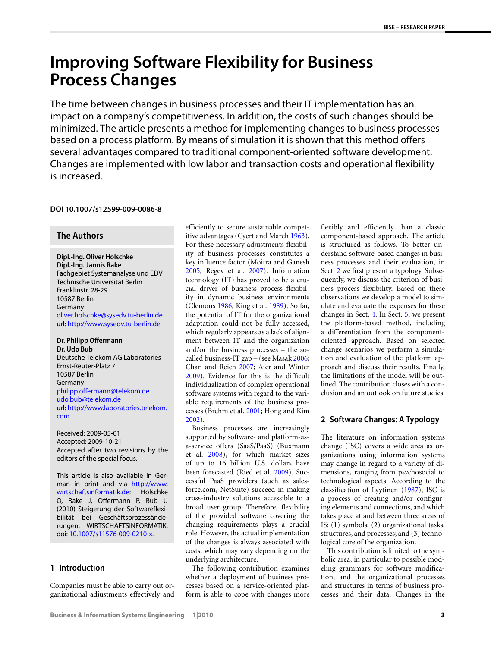# <span id="page-0-0"></span>**Improving Software Flexibility for Business Process Changes**

The time between changes in business processes and their IT implementation has an impact on a company's competitiveness. In addition, the costs of such changes should be minimized. The article presents a method for implementing changes to business processes based on a process platform. By means of simulation it is shown that this method offers several advantages compared to traditional component-oriented software development. Changes are implemented with low labor and transaction costs and operational flexibility is increased.

## **DOI 10.1007/s12599-009-0086-8**

# **The Authors**

**Dipl.-Ing. Oliver Holschke Dipl.-Ing. Jannis Rake** Fachgebiet Systemanalyse und EDV Technische Universität Berlin Franklinstr. 28-29 10587 Berlin Germany [oliver.holschke@sysedv.tu-berlin.de](mailto:oliver.holschke@sysedv.tu-berlin.de) url: <http://www.sysedv.tu-berlin.de>

**Dr. Philipp Offermann Dr. Udo Bub** Deutsche Telekom AG Laboratories Ernst-Reuter-Platz 7 10587 Berlin Germany [philipp.offermann@telekom.de](mailto:philipp.offermann@telekom.de) [udo.bub@telekom.de](mailto:udo.bub@telekom.de) url: [http://www.laboratories.telekom.](http://www.laboratories.telekom.com) [com](http://www.laboratories.telekom.com)

Received: 2009-05-01 Accepted: 2009-10-21 Accepted after two revisions by the editors of the special focus.

This article is also available in German in print and via [http://www.](http://www.wirtschaftsinformatik.de) [wirtschaftsinformatik.de:](http://www.wirtschaftsinformatik.de) Holschke O, Rake J, Offermann P, Bub U (2010) Steigerung der Softwareflexibilität bei Geschäftsprozessänderungen. WIRTSCHAFTSINFORMATIK. doi: [10.1007/s11576-009-0210-x](http://dx.doi.org/10.1007/s11576-009-0210-x).

## **1 Introduction**

Companies must be able to carry out organizational adjustments effectively and efficiently to secure sustainable competitive advantages (Cyert and March [1963](#page-10-0)). For these necessary adjustments flexibility of business processes constitutes a key influence factor (Moitra and Ganesh [2005](#page-10-0); Regev et al. [2007](#page-10-0)). Information technology (IT) has proved to be a crucial driver of business process flexibility in dynamic business environments (Clemons [1986;](#page-10-0) King et al. [1989](#page-10-0)). So far, the potential of IT for the organizational adaptation could not be fully accessed, which regularly appears as a lack of alignment between IT and the organization and/or the business processes – the socalled business-IT gap – (see Masak [2006;](#page-10-0) Chan and Reich [2007;](#page-10-0) Aier and Winter [2009](#page-9-0)). Evidence for this is the difficult individualization of complex operational software systems with regard to the variable requirements of the business processes (Brehm et al. [2001;](#page-10-0) Hong and Kim [2002](#page-10-0)).

Business processes are increasingly supported by software- and platform-asa-service offers (SaaS/PaaS) (Buxmann et al. [2008](#page-10-0)), for which market sizes of up to 16 billion U.S. dollars have been forecasted (Ried et al. [2009\)](#page-10-0). Successful PaaS providers (such as salesforce.com, NetSuite) succeed in making cross-industry solutions accessible to a broad user group. Therefore, flexibility of the provided software covering the changing requirements plays a crucial role. However, the actual implementation of the changes is always associated with costs, which may vary depending on the underlying architecture.

The following contribution examines whether a deployment of business processes based on a service-oriented platform is able to cope with changes more

flexibly and efficiently than a classic component-based approach. The article is structured as follows. To better understand software-based changes in business processes and their evaluation, in Sect. 2 we first present a typology. Subsequently, we discuss the criterion of business process flexibility. Based on these observations we develop a model to simulate and evaluate the expenses for these changes in Sect. [4](#page-1-0). In Sect. [5](#page-3-0), we present the platform-based method, including a differentiation from the componentoriented approach. Based on selected change scenarios we perform a simulation and evaluation of the platform approach and discuss their results. Finally, the limitations of the model will be outlined. The contribution closes with a conclusion and an outlook on future studies.

# **2 Software Changes: A Typology**

The literature on information systems change (ISC) covers a wide area as organizations using information systems may change in regard to a variety of dimensions, ranging from psychosocial to technological aspects. According to the classification of Lyytinen ([1987\)](#page-10-0), ISC is a process of creating and/or configuring elements and connections, and which takes place at and between three areas of IS: (1) symbols; (2) organizational tasks, structures, and processes; and (3) technological core of the organization.

This contribution is limited to the symbolic area, in particular to possible modeling grammars for software modification, and the organizational processes and structures in terms of business processes and their data. Changes in the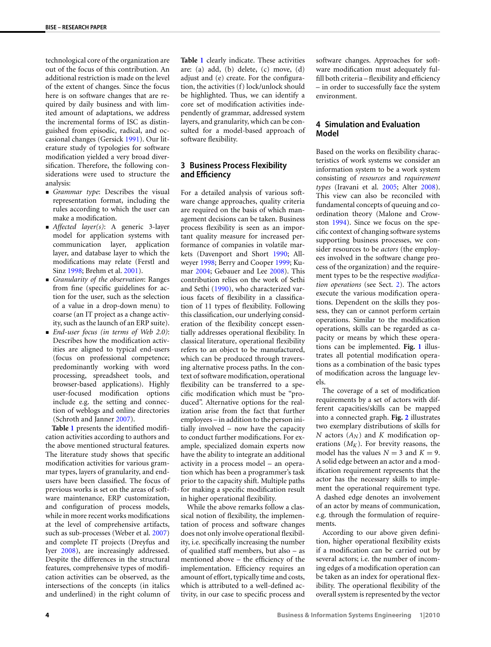<span id="page-1-0"></span>technological core of the organization are out of the focus of this contribution. An additional restriction is made on the level of the extent of changes. Since the focus here is on software changes that are required by daily business and with limited amount of adaptations, we address the incremental forms of ISC as distinguished from episodic, radical, and occasional changes (Gersick [1991](#page-10-0)). Our literature study of typologies for software modification yielded a very broad diversification. Therefore, the following considerations were used to structure the analysis:

- *Grammar type*: Describes the visual representation format, including the rules according to which the user can make a modification.
- *Affected layer(s)*: A generic 3-layer model for application systems with communication layer, application layer, and database layer to which the modifications may relate (Ferstl and Sinz [1998](#page-10-0); Brehm et al. [2001\)](#page-10-0).
- *Granularity of the observation*: Ranges from fine (specific guidelines for action for the user, such as the selection of a value in a drop-down menu) to coarse (an IT project as a change activity, such as the launch of an ERP suite).
- *End-user focus (in terms of Web 2.0)*: Describes how the modification activities are aligned to typical end-users (focus on professional competence; predominantly working with word processing, spreadsheet tools, and browser-based applications). Highly user-focused modification options include e.g. the setting and connection of weblogs and online directories (Schroth and Janner [2007](#page-10-0)).

**Table [1](#page-2-0)** presents the identified modification activities according to authors and the above mentioned structural features. The literature study shows that specific modification activities for various grammar types, layers of granularity, and endusers have been classified. The focus of previous works is set on the areas of software maintenance, ERP customization, and configuration of process models, while in more recent works modifications at the level of comprehensive artifacts, such as sub-processes (Weber et al. [2007](#page-10-0)) and complete IT projects (Dreyfus and Iyer [2008\)](#page-10-0), are increasingly addressed. Despite the differences in the structural features, comprehensive types of modification activities can be observed, as the intersections of the concepts (in italics and underlined) in the right column of **Table [1](#page-2-0)** clearly indicate. These activities are: (a) add, (b) delete, (c) move, (d) adjust and (e) create. For the configuration, the activities (f) lock/unlock should be highlighted. Thus, we can identify a core set of modification activities independently of grammar, addressed system layers, and granularity, which can be consulted for a model-based approach of software flexibility.

## **3 Business Process Flexibility and Efficiency**

For a detailed analysis of various software change approaches, quality criteria are required on the basis of which management decisions can be taken. Business process flexibility is seen as an important quality measure for increased performance of companies in volatile markets (Davenport and Short [1990](#page-10-0); Allweyer [1998](#page-9-0); Berry and Cooper [1999](#page-9-0); Kumar [2004;](#page-10-0) Gebauer and Lee [2008](#page-10-0)). This contribution relies on the work of Sethi and Sethi ([1990\)](#page-10-0), who characterized various facets of flexibility in a classification of 11 types of flexibility. Following this classification, our underlying consideration of the flexibility concept essentially addresses operational flexibility. In classical literature, operational flexibility refers to an object to be manufactured, which can be produced through traversing alternative process paths. In the context of software modification, operational flexibility can be transferred to a specific modification which must be "produced". Alternative options for the realization arise from the fact that further employees – in addition to the person initially involved – now have the capacity to conduct further modifications. For example, specialized domain experts now have the ability to integrate an additional activity in a process model – an operation which has been a programmer's task prior to the capacity shift. Multiple paths for making a specific modification result in higher operational flexibility.

While the above remarks follow a classical notion of flexibility, the implementation of process and software changes does not only involve operational flexibility, i.e. specifically increasing the number of qualified staff members, but also – as mentioned above – the efficiency of the implementation. Efficiency requires an amount of effort, typically time and costs, which is attributed to a well-defined activity, in our case to specific process and

software changes. Approaches for software modification must adequately fulfill both criteria – flexibility and efficiency – in order to successfully face the system environment.

## **4 Simulation and Evaluation Model**

Based on the works on flexibility characteristics of work systems we consider an information system to be a work system consisting of *resources* and *requirement types* (Iravani et al. [2005;](#page-10-0) Alter [2008](#page-9-0)). This view can also be reconciled with fundamental concepts of queuing and coordination theory (Malone and Crowston [1994](#page-10-0)). Since we focus on the specific context of changing software systems supporting business processes, we consider resources to be *actors* (the employees involved in the software change process of the organization) and the requirement types to be the respective *modification operations* (see Sect. [2](#page-0-0)). The actors execute the various modification operations. Dependent on the skills they possess, they can or cannot perform certain operations. Similar to the modification operations, skills can be regarded as capacity or means by which these operations can be implemented. **Fig. [1](#page-2-0)** illustrates all potential modification operations as a combination of the basic types of modification across the language levels.

The coverage of a set of modification requirements by a set of actors with different capacities/skills can be mapped into a connected graph. **Fig. [2](#page-3-0)** illustrates two exemplary distributions of skills for *N* actors  $(A_N)$  and *K* modification operations  $(M_K)$ . For brevity reasons, the model has the values  $N = 3$  and  $K = 9$ . A solid edge between an actor and a modification requirement represents that the actor has the necessary skills to implement the operational requirement type. A dashed edge denotes an involvement of an actor by means of communication, e.g. through the formulation of requirements.

According to our above given definition, higher operational flexibility exists if a modification can be carried out by several actors; i.e. the number of incoming edges of a modification operation can be taken as an index for operational flexibility. The operational flexibility of the overall system is represented by the vector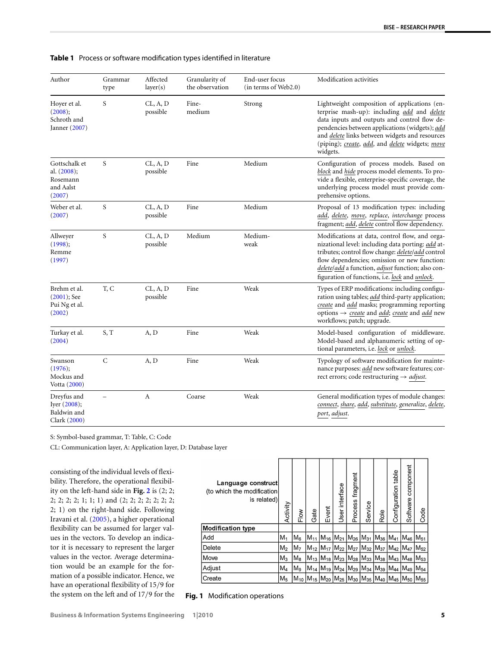| Author                                                            | Grammar<br>type | Affected<br>layer(s) | Granularity of<br>the observation | End-user focus<br>(in terms of Web2.0) | Modification activities                                                                                                                                                                                                                                                                                                      |
|-------------------------------------------------------------------|-----------------|----------------------|-----------------------------------|----------------------------------------|------------------------------------------------------------------------------------------------------------------------------------------------------------------------------------------------------------------------------------------------------------------------------------------------------------------------------|
| Hoyer et al.<br>(2008);<br>Schroth and<br>Janner (2007)           | S               | CL, A, D<br>possible | Fine-<br>medium                   | Strong                                 | Lightweight composition of applications (en-<br>terprise mash-up): including <i>add</i> and <i>delete</i><br>data inputs and outputs and control flow de-<br>pendencies between applications (widgets); add<br>and delete links between widgets and resources<br>(piping); create, add, and delete widgets; move<br>widgets. |
| Gottschalk et<br>al. $(2008);$<br>Rosemann<br>and Aalst<br>(2007) | S               | CL, A, D<br>possible | Fine                              | Medium                                 | Configuration of process models. Based on<br>block and hide process model elements. To pro-<br>vide a flexible, enterprise-specific coverage, the<br>underlying process model must provide com-<br>prehensive options.                                                                                                       |
| Weber et al.<br>(2007)                                            | S               | CL, A, D<br>possible | Fine                              | Medium                                 | Proposal of 13 modification types: including<br>add, delete, move, replace, interchange process<br>fragment; <i>add</i> , <i>delete</i> control flow dependency.                                                                                                                                                             |
| Allweyer<br>(1998);<br>Remme<br>(1997)                            | S               | CL, A, D<br>possible | Medium                            | Medium-<br>weak                        | Modifications at data, control flow, and orga-<br>nizational level: including data porting: add at-<br>tributes; control flow change: delete/add control<br>flow dependencies; omission or new function:<br>delete/add a function, adjust function; also con-<br>figuration of functions, i.e. lock and unlock.              |
| Brehm et al.<br>$(2001)$ ; See<br>Pui Ng et al.<br>(2002)         | T, C            | CL, A, D<br>possible | Fine                              | Weak                                   | Types of ERP modifications: including configu-<br>ration using tables; <i>add</i> third-party application;<br>create and <i>add</i> masks; programming reporting<br>options $\rightarrow$ <i>create</i> and <i>add</i> ; <i>create</i> and <i>add</i> new<br>workflows; patch; upgrade.                                      |
| Turkay et al.<br>(2004)                                           | S, T            | A, D                 | Fine                              | Weak                                   | Model-based configuration of middleware.<br>Model-based and alphanumeric setting of op-<br>tional parameters, i.e. lock or <i>unlock</i> .                                                                                                                                                                                   |
| Swanson<br>(1976);<br>Mockus and<br>Votta (2000)                  | $\mathcal{C}$   | A, D                 | Fine                              | Weak                                   | Typology of software modification for mainte-<br>nance purposes: <i>add</i> new software features; cor-<br>rect errors; code restructuring $\rightarrow$ <i>adjust</i> .                                                                                                                                                     |
| Dreyfus and<br>Iyer $(2008);$<br>Baldwin and<br>Clark (2000)      |                 | $\mathbf{A}$         | Coarse                            | Weak                                   | General modification types of module changes:<br>connect, share, add, substitute, generalize, delete,<br>port, adjust.                                                                                                                                                                                                       |

<span id="page-2-0"></span>**Table 1** Process or software modification types identified in literature

S: Symbol-based grammar, T: Table, C: Code

CL: Communication layer, A: Application layer, D: Database layer

consisting of the individual levels of flexibility. Therefore, the operational flexibility on the left-hand side in **Fig. [2](#page-3-0)** is (2; 2; 2; 2; 2; 2; 1; 1; 1) and (2; 2; 2; 2; 2; 2; 2; 2; 1) on the right-hand side. Following Iravani et al. [\(2005](#page-10-0)), a higher operational flexibility can be assumed for larger values in the vectors. To develop an indicator it is necessary to represent the larger values in the vector. Average determination would be an example for the formation of a possible indicator. Hence, we have an operational flexibility of 15*/*9 for the system on the left and of 17*/*9 for the **Fig. 1** Modification operations

| <b>Modification type</b><br>Add<br>$M_1$<br>$M_{\rm B}$<br>$M_{11}$<br>$M_{16}$ $M_{21}$ $M_{26}$ $M_{31}$<br>$ M_{36} M_{41}$<br>$M_{46}$ $M_{51}$<br>Delete<br>M <sub>2</sub><br>M7<br>  M <sub>12</sub>   M <sub>17</sub>   M <sub>22</sub>   M <sub>27</sub>   M <sub>32</sub>   M <sub>37</sub>   M <sub>42</sub>   M <sub>47</sub>   M <sub>52</sub><br>Move<br>$M_3$<br>  M <sub>13</sub>   M <sub>18</sub>   M <sub>23</sub>   M <sub>28</sub>   M <sub>33</sub>   M <sub>38</sub>   M <sub>43</sub>   M <sub>48</sub>   M <sub>53</sub><br>$M_8$<br>Adjust<br>M <sub>4</sub><br>Mg<br>  M <sub>14</sub>   M <sub>19</sub>   M <sub>24</sub>   M <sub>29</sub>   M <sub>34</sub>   M <sub>39</sub>   M <sub>44</sub>   M <sub>49</sub>   M <sub>54</sub><br>M <sub>5</sub><br>$M_{10}$   M <sub>15</sub>   M <sub>20</sub>   M <sub>25</sub>   M <sub>30</sub>   M <sub>35</sub>   M <sub>40</sub>   M <sub>45</sub>   M <sub>50</sub>   M <sub>55</sub><br>Create | Language construct<br>(to which the modification)<br>is related) | Activity | Flow | Gate | Event | User interface | fragment<br>Process | Service | Role | table<br>Configuration | component<br>Software | Code |
|----------------------------------------------------------------------------------------------------------------------------------------------------------------------------------------------------------------------------------------------------------------------------------------------------------------------------------------------------------------------------------------------------------------------------------------------------------------------------------------------------------------------------------------------------------------------------------------------------------------------------------------------------------------------------------------------------------------------------------------------------------------------------------------------------------------------------------------------------------------------------------------------------------------------------------------------------------------------------|------------------------------------------------------------------|----------|------|------|-------|----------------|---------------------|---------|------|------------------------|-----------------------|------|
|                                                                                                                                                                                                                                                                                                                                                                                                                                                                                                                                                                                                                                                                                                                                                                                                                                                                                                                                                                            |                                                                  |          |      |      |       |                |                     |         |      |                        |                       |      |
|                                                                                                                                                                                                                                                                                                                                                                                                                                                                                                                                                                                                                                                                                                                                                                                                                                                                                                                                                                            |                                                                  |          |      |      |       |                |                     |         |      |                        |                       |      |
|                                                                                                                                                                                                                                                                                                                                                                                                                                                                                                                                                                                                                                                                                                                                                                                                                                                                                                                                                                            |                                                                  |          |      |      |       |                |                     |         |      |                        |                       |      |
|                                                                                                                                                                                                                                                                                                                                                                                                                                                                                                                                                                                                                                                                                                                                                                                                                                                                                                                                                                            |                                                                  |          |      |      |       |                |                     |         |      |                        |                       |      |
|                                                                                                                                                                                                                                                                                                                                                                                                                                                                                                                                                                                                                                                                                                                                                                                                                                                                                                                                                                            |                                                                  |          |      |      |       |                |                     |         |      |                        |                       |      |
|                                                                                                                                                                                                                                                                                                                                                                                                                                                                                                                                                                                                                                                                                                                                                                                                                                                                                                                                                                            |                                                                  |          |      |      |       |                |                     |         |      |                        |                       |      |

<u>randa da basa da da da a san a san a san a san a san a san an san an san an san an san an san an san an san an</u>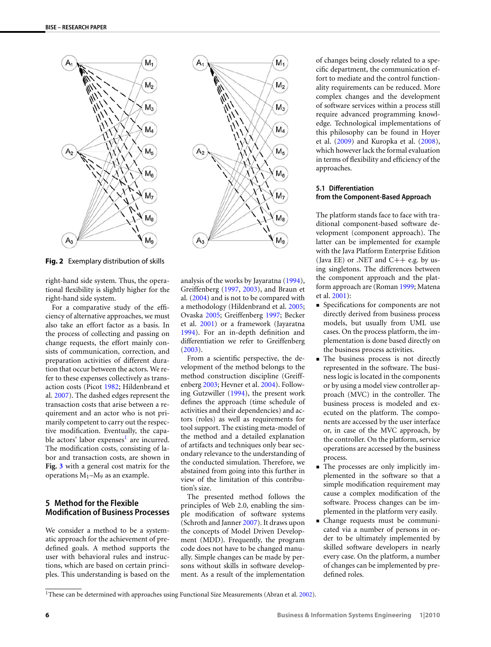<span id="page-3-0"></span>



**Fig. 2** Exemplary distribution of skills

right-hand side system. Thus, the operational flexibility is slightly higher for the right-hand side system.

For a comparative study of the efficiency of alternative approaches, we must also take an effort factor as a basis. In the process of collecting and passing on change requests, the effort mainly consists of communication, correction, and preparation activities of different duration that occur between the actors. We refer to these expenses collectively as transaction costs (Picot [1982](#page-10-0); Hildenbrand et al. [2007](#page-10-0)). The dashed edges represent the transaction costs that arise between a requirement and an actor who is not primarily competent to carry out the respective modification. Eventually, the capable actors' labor expenses<sup>1</sup> are incurred. The modification costs, consisting of labor and transaction costs, are shown in **Fig. [3](#page-4-0)** with a general cost matrix for the operations  $M_1$ – $M_9$  as an example.

## **5 Method for the Flexible Modification of Business Processes**

We consider a method to be a systematic approach for the achievement of predefined goals. A method supports the user with behavioral rules and instructions, which are based on certain principles. This understanding is based on the

analysis of the works by Jayaratna [\(1994](#page-10-0)), Greiffenberg [\(1997](#page-10-0), [2003\)](#page-10-0), and Braun et al. [\(2004](#page-10-0)) and is not to be compared with a methodology (Hildenbrand et al. [2005;](#page-10-0) Ovaska [2005](#page-10-0); Greiffenberg [1997;](#page-10-0) Becker et al. [2001](#page-9-0)) or a framework (Jayaratna [1994](#page-10-0)). For an in-depth definition and differentiation we refer to Greiffenberg [\(2003\)](#page-10-0).

From a scientific perspective, the development of the method belongs to the method construction discipline (Greiffenberg [2003;](#page-10-0) Hevner et al. [2004](#page-10-0)). Following Gutzwiller ([1994](#page-10-0)), the present work defines the approach (time schedule of activities and their dependencies) and actors (roles) as well as requirements for tool support. The existing meta-model of the method and a detailed explanation of artifacts and techniques only bear secondary relevance to the understanding of the conducted simulation. Therefore, we abstained from going into this further in view of the limitation of this contribution's size.

The presented method follows the principles of Web 2.0, enabling the simple modification of software systems (Schroth and Janner [2007\)](#page-10-0). It draws upon the concepts of Model Driven Development (MDD). Frequently, the program code does not have to be changed manually. Simple changes can be made by persons without skills in software development. As a result of the implementation of changes being closely related to a specific department, the communication effort to mediate and the control functionality requirements can be reduced. More complex changes and the development of software services within a process still require advanced programming knowledge. Technological implementations of this philosophy can be found in Hoyer et al. [\(2009](#page-10-0)) and Kuropka et al. [\(2008](#page-10-0)), which however lack the formal evaluation in terms of flexibility and efficiency of the approaches.

## **5.1 Differentiation from the Component-Based Approach**

The platform stands face to face with traditional component-based software development (component approach). The latter can be implemented for example with the Java Platform Enterprise Edition (Java EE) or .NET and  $C++e.g.$  by using singletons. The differences between the component approach and the platform approach are (Roman [1999](#page-10-0); Matena et al. [2001](#page-10-0)):

- Specifications for components are not directly derived from business process models, but usually from UML use cases. On the process platform, the implementation is done based directly on the business process activities.
- The business process is not directly represented in the software. The business logic is located in the components or by using a model view controller approach (MVC) in the controller. The business process is modeled and executed on the platform. The components are accessed by the user interface or, in case of the MVC approach, by the controller. On the platform, service operations are accessed by the business process.
- - The processes are only implicitly implemented in the software so that a simple modification requirement may cause a complex modification of the software. Process changes can be implemented in the platform very easily.
- Change requests must be communicated via a number of persons in order to be ultimately implemented by skilled software developers in nearly every case. On the platform, a number of changes can be implemented by predefined roles.

<sup>&</sup>lt;sup>1</sup>These can be determined with approaches using Functional Size Measurements (Abran et al. [2002](#page-9-0)).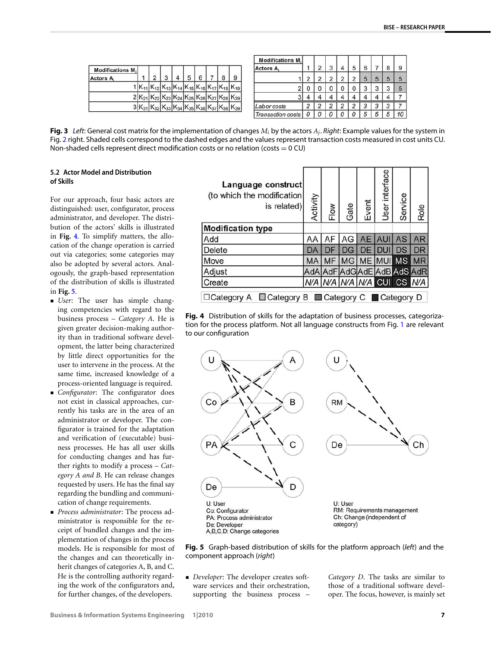<span id="page-4-0"></span>

| Modifications M.      |  |  |  |  |                                                                                                                                                   |
|-----------------------|--|--|--|--|---------------------------------------------------------------------------------------------------------------------------------------------------|
| Actors A <sub>i</sub> |  |  |  |  |                                                                                                                                                   |
|                       |  |  |  |  | $1 K_{11} K_{12} K_{13} K_{14} K_{15} K_{16} K_{17} K_{18} K_{19} $                                                                               |
|                       |  |  |  |  | 2 K <sub>21</sub> K <sub>22</sub> K <sub>23</sub> K <sub>24</sub> K <sub>25</sub> K <sub>26</sub> K <sub>27</sub> K <sub>28</sub> K <sub>29</sub> |
|                       |  |  |  |  | $3 K_{31} K_{32} K_{33} K_{34} K_{35} K_{36} K_{37} K_{38} K_{39} $                                                                               |

| Modifications M,         |   |   |   |   |   |   |   |   |   |
|--------------------------|---|---|---|---|---|---|---|---|---|
| Actors A.                |   | 2 | 3 |   | 5 | 6 |   | 8 |   |
|                          |   | 2 | 2 |   |   | 5 | 5 | 5 | 5 |
|                          |   | U | 0 | U |   | 3 | 3 | 3 | 5 |
|                          |   |   |   |   |   |   |   |   |   |
| abor costs.              |   | 2 | 2 |   |   | 3 | 3 | 3 |   |
| <b>Transaction costs</b> | 0 | 0 | Ω |   |   | 5 | 5 | 5 |   |

**Fig. 3** Left: General cost matrix for the implementation of changes *Mi* by the actors *Aj*. Right: Example values for the system in Fig. [2](#page-3-0) right. Shaded cells correspond to the dashed edges and the values represent transaction costs measured in cost units CU. Non-shaded cells represent direct modification costs or no relation (costs  $= 0$  CU)

## **5.2 Actor Model and Distribution of Skills**

For our approach, four basic actors are distinguished: user, configurator, process administrator, and developer. The distribution of the actors' skills is illustrated in **Fig. 4**. To simplify matters, the allocation of the change operation is carried out via categories; some categories may also be adopted by several actors. Analogously, the graph-based representation of the distribution of skills is illustrated in **Fig. 5**.

- *User*: The user has simple changing competencies with regard to the business process – *Category A*. He is given greater decision-making authority than in traditional software development, the latter being characterized by little direct opportunities for the user to intervene in the process. At the same time, increased knowledge of a process-oriented language is required.
- *Configurator*: The configurator does not exist in classical approaches, currently his tasks are in the area of an administrator or developer. The configurator is trained for the adaptation and verification of (executable) business processes. He has all user skills for conducting changes and has further rights to modify a process – *Category A and B*. He can release changes requested by users. He has the final say regarding the bundling and communication of change requirements.
- *Process administrator*: The process administrator is responsible for the receipt of bundled changes and the implementation of changes in the process models. He is responsible for most of the changes and can theoretically inherit changes of categories A, B, and C. He is the controlling authority regarding the work of the configurators and, for further changes, of the developers.

| Language construct<br>(to which the modification<br>is related) | Activity | Flow | Gate                        | Event | User interface | Service       | Role      |  |
|-----------------------------------------------------------------|----------|------|-----------------------------|-------|----------------|---------------|-----------|--|
| <b>Modification type</b>                                        |          |      |                             |       |                |               |           |  |
| Add                                                             | AA       | AF   | AG                          | AE    | AUI            | AS            | <b>AR</b> |  |
| Delete                                                          | DA       | DF   | DG                          | DF    | DUI            | $\mathsf{DS}$ | DR        |  |
| Move                                                            | MA       | MF   | <b>MG</b>                   |       | <b>ME MUI</b>  | <b>MS</b>     | <b>MR</b> |  |
| Adjust                                                          |          |      | AdA AdF AdG AdE AdB AdS AdR |       |                |               |           |  |
| Create                                                          |          |      | N/A N/A N/A N/A CUICS N/A   |       |                |               |           |  |
| □Category A □ Category B ■ Category C ■ Category D              |          |      |                             |       |                |               |           |  |

**Fig. 4** Distribution of skills for the adaptation of business processes, categorization for the process platform. Not all language constructs from Fig. [1](#page-2-0) are relevant to our configuration





- *Developer*: The developer creates software services and their orchestration, supporting the business process – *Category D*. The tasks are similar to those of a traditional software developer. The focus, however, is mainly set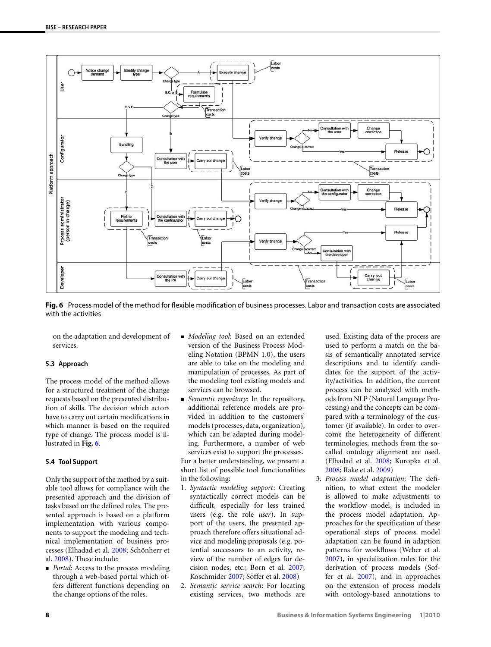

**Fig. 6** Process model of the method for flexible modification of business processes. Labor and transaction costs are associated with the activities

on the adaptation and development of services.

#### **5.3 Approach**

The process model of the method allows for a structured treatment of the change requests based on the presented distribution of skills. The decision which actors have to carry out certain modifications in which manner is based on the required type of change. The process model is illustrated in **Fig. 6**.

#### **5.4 Tool Support**

Only the support of the method by a suitable tool allows for compliance with the presented approach and the division of tasks based on the defined roles. The presented approach is based on a platform implementation with various components to support the modeling and technical implementation of business processes (Elhadad et al. [2008;](#page-10-0) Schönherr et al. [2008\)](#page-10-0). These include:

■ *Portal*: Access to the process modeling through a web-based portal which offers different functions depending on the change options of the roles.

- *Modeling tool*: Based on an extended version of the Business Process Modeling Notation (BPMN 1.0), the users are able to take on the modeling and manipulation of processes. As part of the modeling tool existing models and services can be browsed.
- *Semantic repository*: In the repository, additional reference models are provided in addition to the customers' models (processes, data, organization), which can be adapted during modeling. Furthermore, a number of web services exist to support the processes. For a better understanding, we present a short list of possible tool functionalities in the following:
- 1. *Syntactic modeling support*: Creating syntactically correct models can be difficult, especially for less trained users (e.g. the role *user*). In support of the users, the presented approach therefore offers situational advice and modeling proposals (e.g. potential successors to an activity, review of the number of edges for decision nodes, etc.; Born et al. [2007;](#page-10-0) Koschmider [2007](#page-10-0); Soffer et al. [2008\)](#page-10-0)
- 2. *Semantic service search*: For locating existing services, two methods are

used. Existing data of the process are used to perform a match on the basis of semantically annotated service descriptions and to identify candidates for the support of the activity/activities. In addition, the current process can be analyzed with methods from NLP (Natural Language Processing) and the concepts can be compared with a terminology of the customer (if available). In order to overcome the heterogeneity of different terminologies, methods from the socalled ontology alignment are used. (Elhadad et al. [2008](#page-10-0); Kuropka et al. [2008;](#page-10-0) Rake et al. [2009\)](#page-10-0)

3. *Process model adaptation*: The definition, to what extent the modeler is allowed to make adjustments to the workflow model, is included in the process model adaptation. Approaches for the specification of these operational steps of process model adaptation can be found in adaption patterns for workflows (Weber et al. [2007\)](#page-10-0), in specialization rules for the derivation of process models (Soffer et al. [2007](#page-10-0)), and in approaches on the extension of process models with ontology-based annotations to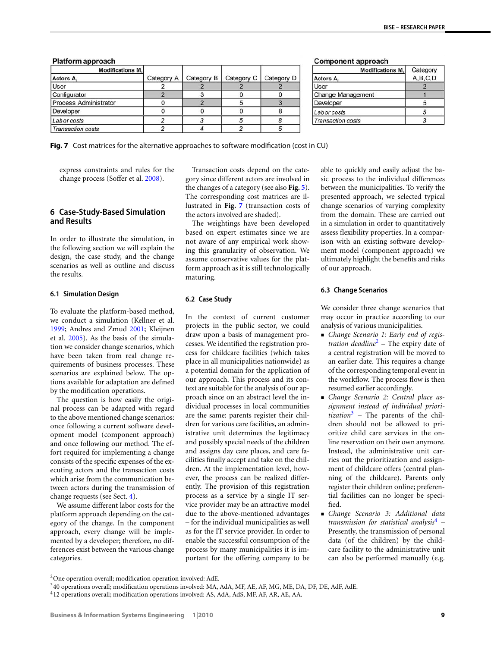#### <span id="page-6-0"></span>**Platform approach**

| Modifications M.      |            |            |                         |
|-----------------------|------------|------------|-------------------------|
| Actors A              | Category A | Category B | Category C   Category D |
| User                  |            |            |                         |
| Configurator          |            |            |                         |
| Process Administrator |            |            |                         |
| Developer             |            |            |                         |
| Labor costs           |            |            |                         |
| Transaction costs     |            |            |                         |

**Component approach** 

| Modifications M.      | Category   |
|-----------------------|------------|
| Actors A <sub>i</sub> | A, B, C, D |
| User                  |            |
| Change Management     |            |
| Developer             |            |
| Labor costs           | ñ          |
| Transaction costs     |            |

**Fig. 7** Cost matrices for the alternative approaches to software modification (cost in CU)

express constraints and rules for the change process (Soffer et al. [2008](#page-10-0)).

## **6 Case-Study-Based Simulation and Results**

In order to illustrate the simulation, in the following section we will explain the design, the case study, and the change scenarios as well as outline and discuss the results.

## **6.1 Simulation Design**

To evaluate the platform-based method, we conduct a simulation (Kellner et al. [1999;](#page-10-0) Andres and Zmud [2001](#page-9-0); Kleijnen et al. [2005\)](#page-10-0). As the basis of the simulation we consider change scenarios, which have been taken from real change requirements of business processes. These scenarios are explained below. The options available for adaptation are defined by the modification operations.

The question is how easily the original process can be adapted with regard to the above mentioned change scenarios: once following a current software development model (component approach) and once following our method. The effort required for implementing a change consists of the specific expenses of the executing actors and the transaction costs which arise from the communication between actors during the transmission of change requests (see Sect. [4\)](#page-1-0).

We assume different labor costs for the platform approach depending on the category of the change. In the component approach, every change will be implemented by a developer; therefore, no differences exist between the various change categories.

Transaction costs depend on the category since different actors are involved in the changes of a category (see also **Fig. [5](#page-4-0)**). The corresponding cost matrices are illustrated in **Fig. 7** (transaction costs of the actors involved are shaded).

The weightings have been developed based on expert estimates since we are not aware of any empirical work showing this granularity of observation. We assume conservative values for the platform approach as it is still technologically maturing.

#### **6.2 Case Study**

In the context of current customer projects in the public sector, we could draw upon a basis of management processes. We identified the registration process for childcare facilities (which takes place in all municipalities nationwide) as a potential domain for the application of our approach. This process and its context are suitable for the analysis of our approach since on an abstract level the individual processes in local communities are the same: parents register their children for various care facilities, an administrative unit determines the legitimacy and possibly special needs of the children and assigns day care places, and care facilities finally accept and take on the children. At the implementation level, however, the process can be realized differently. The provision of this registration process as a service by a single IT service provider may be an attractive model due to the above-mentioned advantages – for the individual municipalities as well as for the IT service provider. In order to enable the successful consumption of the process by many municipalities it is important for the offering company to be

able to quickly and easily adjust the basic process to the individual differences between the municipalities. To verify the presented approach, we selected typical change scenarios of varying complexity from the domain. These are carried out in a simulation in order to quantitatively assess flexibility properties. In a comparison with an existing software development model (component approach) we ultimately highlight the benefits and risks of our approach.

## **6.3 Change Scenarios**

We consider three change scenarios that may occur in practice according to our analysis of various municipalities.

- *Change Scenario 1: Early end of registration deadline*<sup>2</sup> – The expiry date of a central registration will be moved to an earlier date. This requires a change of the corresponding temporal event in the workflow. The process flow is then resumed earlier accordingly.
- *Change Scenario 2: Central place assignment instead of individual prioritization*<sup>3</sup> – The parents of the children should not be allowed to prioritize child care services in the online reservation on their own anymore. Instead, the administrative unit carries out the prioritization and assignment of childcare offers (central planning of the childcare). Parents only register their children online; preferential facilities can no longer be specified.
- *Change Scenario 3: Additional data transmission for statistical analysis*<sup>4</sup> – Presently, the transmission of personal data (of the children) by the childcare facility to the administrative unit can also be performed manually (e.g.

<sup>2</sup>One operation overall; modification operation involved: AdE.

<sup>340</sup> operations overall; modification operations involved: MA, AdA, MF, AE, AF, MG, ME, DA, DF, DE, AdF, AdE.

<sup>412</sup> operations overall; modification operations involved: AS, AdA, AdS, MF, AF, AR, AE, AA.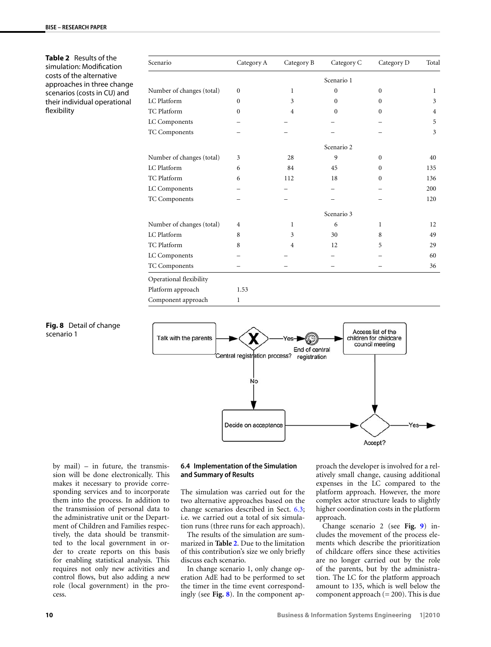**Table 2** Results of the simulation: Modification costs of the alternative approaches in three change scenarios (costs in CU) and their individual operational flexibility

| Scenario                  | Category A   | Category B     | Category C   | Category D   | Total          |
|---------------------------|--------------|----------------|--------------|--------------|----------------|
|                           |              |                | Scenario 1   |              |                |
| Number of changes (total) | $\mathbf{0}$ | 1              | $\theta$     | $\Omega$     | 1              |
| LC Platform               | $\Omega$     | 3              | $\Omega$     | $\Omega$     | 3              |
| <b>TC</b> Platform        | $\mathbf{0}$ | $\overline{4}$ | $\mathbf{0}$ | $\mathbf{0}$ | $\overline{4}$ |
| LC Components             |              |                |              |              | 5              |
| TC Components             |              |                |              |              | 3              |
|                           |              |                | Scenario 2   |              |                |
| Number of changes (total) | 3            | 28             | 9            | $\Omega$     | 40             |
| LC Platform               | 6            | 84             | 45           | $\Omega$     | 135            |
| TC Platform               | 6            | 112            | 18           | $\Omega$     | 136            |
| LC Components             |              |                |              |              | 200            |
| TC Components             |              |                |              |              | 120            |
|                           |              |                | Scenario 3   |              |                |
| Number of changes (total) | 4            | 1              | 6            | $\mathbf{1}$ | 12             |
| LC Platform               | 8            | 3              | 30           | 8            | 49             |
| TC Platform               | 8            | $\overline{4}$ | 12           | 5            | 29             |
| LC Components             |              |                |              |              | 60             |
| TC Components             |              |                |              |              | 36             |
| Operational flexibility   |              |                |              |              |                |
| Platform approach         | 1.53         |                |              |              |                |
| Component approach        | 1            |                |              |              |                |





by mail) – in future, the transmission will be done electronically. This makes it necessary to provide corresponding services and to incorporate them into the process. In addition to the transmission of personal data to the administrative unit or the Department of Children and Families respectively, the data should be transmitted to the local government in order to create reports on this basis for enabling statistical analysis. This requires not only new activities and control flows, but also adding a new role (local government) in the process.

#### **6.4 Implementation of the Simulation and Summary of Results**

The simulation was carried out for the two alternative approaches based on the change scenarios described in Sect. [6.3;](#page-6-0) i.e. we carried out a total of six simulation runs (three runs for each approach).

The results of the simulation are summarized in **Table 2**. Due to the limitation of this contribution's size we only briefly discuss each scenario.

In change scenario 1, only change operation AdE had to be performed to set the timer in the time event correspondingly (see **Fig. 8**). In the component ap-

proach the developer is involved for a relatively small change, causing additional expenses in the LC compared to the platform approach. However, the more complex actor structure leads to slightly higher coordination costs in the platform approach.

Change scenario 2 (see **Fig. [9](#page-8-0)**) includes the movement of the process elements which describe the prioritization of childcare offers since these activities are no longer carried out by the role of the parents, but by the administration. The LC for the platform approach amount to 135, which is well below the component approach  $(= 200)$ . This is due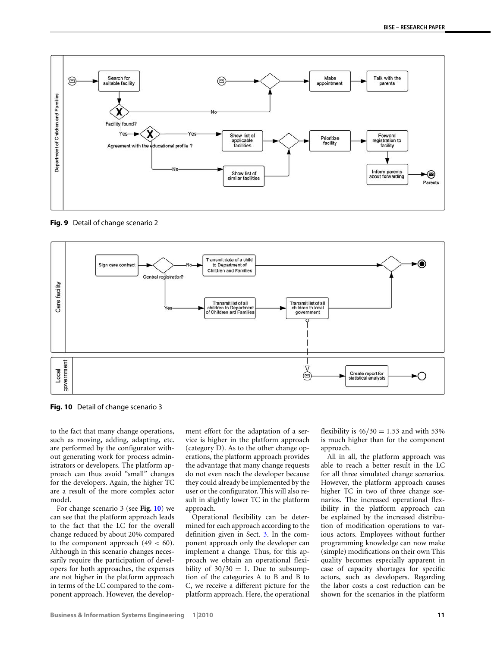<span id="page-8-0"></span>

**Fig. 9** Detail of change scenario 2



**Fig. 10** Detail of change scenario 3

to the fact that many change operations, such as moving, adding, adapting, etc. are performed by the configurator without generating work for process administrators or developers. The platform approach can thus avoid "small" changes for the developers. Again, the higher TC are a result of the more complex actor model.

For change scenario 3 (see **Fig. 10**) we can see that the platform approach leads to the fact that the LC for the overall change reduced by about 20% compared to the component approach  $(49 < 60)$ . Although in this scenario changes necessarily require the participation of developers for both approaches, the expenses are not higher in the platform approach in terms of the LC compared to the component approach. However, the development effort for the adaptation of a service is higher in the platform approach (category D). As to the other change operations, the platform approach provides the advantage that many change requests do not even reach the developer because they could already be implemented by the user or the configurator. This will also result in slightly lower TC in the platform approach.

Operational flexibility can be determined for each approach according to the definition given in Sect. [3.](#page-1-0) In the component approach only the developer can implement a change. Thus, for this approach we obtain an operational flexibility of  $30/30 = 1$ . Due to subsumption of the categories A to B and B to C, we receive a different picture for the platform approach. Here, the operational flexibility is  $46/30 = 1.53$  and with 53% is much higher than for the component approach.

All in all, the platform approach was able to reach a better result in the LC for all three simulated change scenarios. However, the platform approach causes higher TC in two of three change scenarios. The increased operational flexibility in the platform approach can be explained by the increased distribution of modification operations to various actors. Employees without further programming knowledge can now make (simple) modifications on their own This quality becomes especially apparent in case of capacity shortages for specific actors, such as developers. Regarding the labor costs a cost reduction can be shown for the scenarios in the platform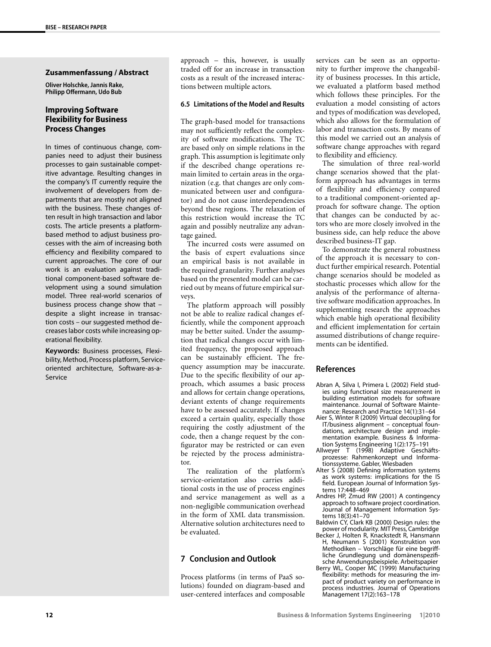#### <span id="page-9-0"></span>**Zusammenfassung / Abstract**

**Oliver Holschke, Jannis Rake, Philipp Offermann, Udo Bub**

# **Improving Software Flexibility for Business Process Changes**

In times of continuous change, companies need to adjust their business processes to gain sustainable competitive advantage. Resulting changes in the company's IT currently require the involvement of developers from departments that are mostly not aligned with the business. These changes often result in high transaction and labor costs. The article presents a platformbased method to adjust business processes with the aim of increasing both efficiency and flexibility compared to current approaches. The core of our work is an evaluation against traditional component-based software development using a sound simulation model. Three real-world scenarios of business process change show that – despite a slight increase in transaction costs – our suggested method decreases labor costs while increasing operational flexibility.

**Keywords:** Business processes, Flexibility, Method, Process platform, Serviceoriented architecture, Software-as-a-Service

approach – this, however, is usually traded off for an increase in transaction costs as a result of the increased interactions between multiple actors.

## **6.5 Limitations of the Model and Results**

The graph-based model for transactions may not sufficiently reflect the complexity of software modifications. The TC are based only on simple relations in the graph. This assumption is legitimate only if the described change operations remain limited to certain areas in the organization (e.g. that changes are only communicated between user and configurator) and do not cause interdependencies beyond these regions. The relaxation of this restriction would increase the TC again and possibly neutralize any advantage gained.

The incurred costs were assumed on the basis of expert evaluations since an empirical basis is not available in the required granularity. Further analyses based on the presented model can be carried out by means of future empirical surveys.

The platform approach will possibly not be able to realize radical changes efficiently, while the component approach may be better suited. Under the assumption that radical changes occur with limited frequency, the proposed approach can be sustainably efficient. The frequency assumption may be inaccurate. Due to the specific flexibility of our approach, which assumes a basic process and allows for certain change operations, deviant extents of change requirements have to be assessed accurately. If changes exceed a certain quality, especially those requiring the costly adjustment of the code, then a change request by the configurator may be restricted or can even be rejected by the process administrator.

The realization of the platform's service-orientation also carries additional costs in the use of process engines and service management as well as a non-negligible communication overhead in the form of XML data transmission. Alternative solution architectures need to be evaluated.

## **7 Conclusion and Outlook**

Process platforms (in terms of PaaS solutions) founded on diagram-based and user-centered interfaces and composable services can be seen as an opportunity to further improve the changeability of business processes. In this article, we evaluated a platform based method which follows these principles. For the evaluation a model consisting of actors and types of modification was developed, which also allows for the formulation of labor and transaction costs. By means of this model we carried out an analysis of software change approaches with regard to flexibility and efficiency.

The simulation of three real-world change scenarios showed that the platform approach has advantages in terms of flexibility and efficiency compared to a traditional component-oriented approach for software change. The option that changes can be conducted by actors who are more closely involved in the business side, can help reduce the above described business-IT gap.

To demonstrate the general robustness of the approach it is necessary to conduct further empirical research. Potential change scenarios should be modeled as stochastic processes which allow for the analysis of the performance of alternative software modification approaches. In supplementing research the approaches which enable high operational flexibility and efficient implementation for certain assumed distributions of change requirements can be identified.

## **References**

- Abran A, Silva I, Primera L (2002) Field studies using functional size measurement in building estimation models for software maintenance. Journal of Software Maintenance: Research and Practice 14(1):31–64
- Aier S, Winter R (2009) Virtual decoupling for IT/business alignment – conceptual foundations, architecture design and implementation example. Business & Informa-
- tion Systems Engineering 1(2):175–191<br>Allwever T (1998) Adaptive Geschi Allweyer T (1998) Adaptive Geschäftsprozesse: Rahmenkonzept und Informationssysteme. Gabler, Wiesbaden
- Alter S (2008) Defining information systems as work systems: implications for the IS field. European Journal of Information Systems 17:448–469
- Andres HP, Zmud RW (2001) A contingency approach to software project coordination. Journal of Management Information Systems 18(3):41–70
- Baldwin CY, Clark KB (2000) Design rules: the power of modularity. MIT Press, Cambridge
- Becker J, Holten R, Knackstedt R, Hansmann H, Neumann S (2001) Konstruktion von Methodiken – Vorschläge für eine begriffliche Grundlegung und domänenspezifische Anwendungsbeispiele. Arbeitspapier
- Berry WL, Cooper MC (1999) Manufacturing flexibility: methods for measuring the impact of product variety on performance in process industries. Journal of Operations Management 17(2):163–178